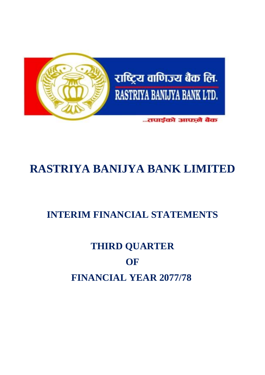

# **RASTRIYA BANIJYA BANK LIMITED**

## **INTERIM FINANCIAL STATEMENTS**

# **THIRD QUARTER OF FINANCIAL YEAR 2077/78**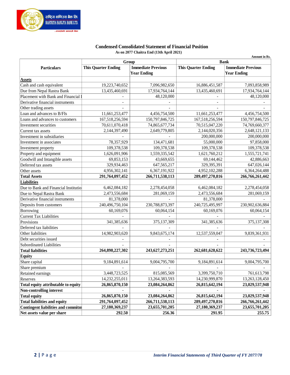

#### **Condensed Consolidated Statement of Financial Position As on 2077 Chaitra End (13th April 2021)**

|                                           |                            |                                    | Amount in Rs.<br><b>Bank</b> |                                                         |  |  |  |
|-------------------------------------------|----------------------------|------------------------------------|------------------------------|---------------------------------------------------------|--|--|--|
|                                           | <b>This Quarter Ending</b> | Group<br><b>Immediate Previous</b> |                              | <b>This Quarter Ending</b><br><b>Immediate Previous</b> |  |  |  |
| <b>Particulars</b>                        |                            | <b>Year Ending</b>                 |                              | <b>Year Ending</b>                                      |  |  |  |
| <b>Assets</b>                             |                            |                                    |                              |                                                         |  |  |  |
| Cash and cash equivalent                  | 19,223,740,652             | 7,096,982,650                      | 16,886,451,587               | 7,093,858,989                                           |  |  |  |
| Due from Nepal Rastra Bank                | 13,435,460,691             | 17,934,764,144                     | 13,435,460,691               | 17,934,764,144                                          |  |  |  |
| Placement with Bank and Financial         |                            | 48,120,000                         |                              | 48,120,000                                              |  |  |  |
| Derivative financial instruments          | $\overline{\phantom{a}}$   |                                    |                              |                                                         |  |  |  |
| Other trading assets                      |                            |                                    |                              |                                                         |  |  |  |
| Loan and advances to B/FIs                | 11,661,253,477             | 4,456,754,500                      | 11,661,253,477               | 4,456,754,500                                           |  |  |  |
| Loans and advances to customers           | 167,518,256,594            | 150,797,846,725                    | 167,518,256,594              | 150,797,846,725                                         |  |  |  |
| Investment securities                     | 70,611,070,418             | 74,865,677,734                     | 70,515,047,220               | 74,769,660,377                                          |  |  |  |
| Current tax assets                        | 2,144,397,490              | 2,649,779,805                      | 2,144,020,356                | 2,648,121,133                                           |  |  |  |
| Investment in subsidiaries                |                            |                                    | 200,000,000                  | 200,000,000                                             |  |  |  |
| Investment in associates                  | 78,357,929                 | 134,471,681                        | 55,000,000                   | 97,858,000                                              |  |  |  |
| Investment property                       | 109,378,538                | 109,378,538                        | 109,378,538                  | 109,378,538                                             |  |  |  |
| Property and equipment                    | 1,626,091,906              | 1,559,335,542                      | 1,621,760,212                | 1,555,721,741                                           |  |  |  |
| Goodwill and Intangible assets            | 69,853,153                 | 43,669,655                         | 69,144,462                   | 42,886,663                                              |  |  |  |
| Deferred tax assets                       | 329,934,463                | 647, 565, 217                      | 329,395,391                  | 647,026,144                                             |  |  |  |
| Other assets                              | 4,956,302,141              | 6,367,191,922                      | 4,952,102,288                | 6,364,264,488                                           |  |  |  |
| <b>Total Assets</b>                       | 291,764,097,452            | 266,711,538,113                    | 289,497,270,816              | 266,766,261,442                                         |  |  |  |
| <b>Liabilities</b>                        |                            |                                    |                              |                                                         |  |  |  |
| Due to Bank and Financial Institution     | 6,462,084,182              | 2,278,454,058                      | 6,462,084,182                | 2,278,454,058                                           |  |  |  |
| Due to Nepal Rastra Bank                  | 2,473,556,684              | 281,069,159                        | 2,473,556,684                | 281,069,159                                             |  |  |  |
| Derivative financial instruments          | 81,378,000                 |                                    | 81,378,000                   |                                                         |  |  |  |
| Deposits from customers                   | 240,496,750,104            | 230,788,873,397                    | 240,725,495,997              | 230,902,636,884                                         |  |  |  |
| Borrowing                                 | 60,169,076                 | 60,064,154                         | 60,169,076                   | 60,064,154                                              |  |  |  |
| <b>Current Tax Liabilities</b>            |                            |                                    |                              |                                                         |  |  |  |
| Provisions                                | 341,385,636                | 375,137,309                        | 341,385,636                  | 375,137,308                                             |  |  |  |
| Deferred tax liabilities                  |                            |                                    |                              |                                                         |  |  |  |
| Other liabilities                         | 14,982,903,620             | 9,843,675,174                      | 12,537,559,047               | 9,839,361,931                                           |  |  |  |
| Debt securities issued                    |                            |                                    |                              |                                                         |  |  |  |
| <b>Subordinated Liabilities</b>           |                            |                                    |                              |                                                         |  |  |  |
| <b>Total liabilities</b>                  | 264,898,227,302            | 243, 627, 273, 251                 | 262,681,628,622              | 243,736,723,494                                         |  |  |  |
| <b>Equity</b>                             |                            |                                    |                              |                                                         |  |  |  |
| Share capital                             | 9,184,891,614              | 9,004,795,700                      | 9,184,891,614                | 9,004,795,700                                           |  |  |  |
| Share premium                             |                            |                                    |                              |                                                         |  |  |  |
| Retained earnings                         | 3,448,723,525              | 815,085,569                        | 3,399,750,710                | 761,613,798                                             |  |  |  |
| Reserves                                  | 14,232,255,011             | 13,264,383,593                     | 14,230,999,870               | 13,263,128,450                                          |  |  |  |
| Total equity attributable to equity       | 26,865,870,150             | 23,084,264,862                     | 26,815,642,194               | 23,029,537,948                                          |  |  |  |
| <b>Non-controlling interest</b>           |                            |                                    |                              |                                                         |  |  |  |
| <b>Total equity</b>                       | 26,865,870,150             | 23,084,264,862                     | 26,815,642,194               | 23,029,537,948                                          |  |  |  |
| <b>Total liabilities and equity</b>       | 291,764,097,452            | 266,711,538,113                    | 289,497,270,816              | 266,766,261,442                                         |  |  |  |
| <b>Contingent liabilities and commitm</b> |                            |                                    | 27,180,369,237               |                                                         |  |  |  |
| Net assets value per share                | 27,180,369,237             | 23,655,701,205                     |                              | 23,655,701,205                                          |  |  |  |
|                                           | 292.50                     | 256.36                             | 291.95                       | 255.75                                                  |  |  |  |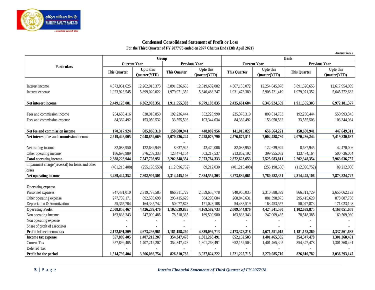

#### **Condensed Consolidated Statement of Profit or Loss For the Third Quarter of FY 2077/78 ended on 2077 Chaitra End (13th April 2021)**

|                                                            |                     |                                  |                     |                                  |                     |                           |                     | Amount in Rs.             |  |
|------------------------------------------------------------|---------------------|----------------------------------|---------------------|----------------------------------|---------------------|---------------------------|---------------------|---------------------------|--|
|                                                            |                     | Group                            |                     |                                  | <b>Bank</b>         |                           |                     |                           |  |
| <b>Particulars</b>                                         | <b>Current Year</b> |                                  |                     | <b>Previous Year</b>             | <b>Current Year</b> |                           |                     | <b>Previous Year</b>      |  |
|                                                            | <b>This Quarter</b> | <b>Upto this</b><br>Quarter(YTD) | <b>This Quarter</b> | <b>Upto this</b><br>Quarter(YTD) | <b>This Quarter</b> | Upto this<br>Quarter(YTD) | <b>This Quarter</b> | Upto this<br>Quarter(YTD) |  |
|                                                            |                     |                                  |                     |                                  |                     |                           |                     |                           |  |
| Interest income                                            | 4,373,051,625       | 12,262,013,373                   | 3,891,526,655       | 12,619,682,082                   | 4,367,135,072       | 12,254,645,978            | 3,891,526,655       | 12,617,954,039            |  |
| Interest expense                                           | 1,923,923,545       | 5,899,020,022                    | 1,979,971,352       | 5,640,488,247                    | 1,931,473,389       | 5,908,721,419             | 1,979,971,352       | 5,645,772,662             |  |
| Net interest income                                        | 2,449,128,081       | 6,362,993,351                    | 1,911,555,303       | 6,979,193,835                    | 2,435,661,684       | 6,345,924,559             | 1,911,555,303       | 6,972,181,377             |  |
|                                                            |                     |                                  |                     |                                  |                     |                           |                     |                           |  |
| Fees and commission income                                 | 254,680,416         | 838,916,850                      | 192,236,444         | 552,226,990                      | 225,378,319         | 809,614,753               | 192,236,444         | 550,993,345               |  |
| Fees and commission expense                                | 84,362,492          | 153,050,532                      | 33,555,503          | 103,344,034                      | 84,362,492          | 153,050,532               | 33,555,503          | 103,344,034               |  |
| Net fee and commission income                              | 170,317,924         | 685,866,318                      | 158,680,941         | 448,882,956                      | 141,015,827         | 656,564,221               | 158,680,941         | 447,649,311               |  |
| Net interest, fee and commission income                    | 2,619,446,005       | 7,048,859,669                    | 2,070,236,244       | 7,428,076,790                    | 2,576,677,511       | 7,002,488,780             | 2,070,236,244       | 7,419,830,687             |  |
|                                                            |                     |                                  |                     |                                  |                     |                           |                     |                           |  |
| Net trading income                                         | 82,083,950          | 122,639,949                      | 8,637,945           | 42,470,006                       | 82,083,950          | 122,639,949               | 8,637,945           | 42,470,006                |  |
| Other operating income                                     | 186,698,989         | 376,209,333                      | 123,474,164         | 503,217,537                      | 213,862,192         | 399,955,082               | 123,474,164         | 500,736,064               |  |
| <b>Total operating income</b>                              | 2,888,228,944       | 7,547,708,951                    | 2,202,348,354       | 7,973,764,333                    | 2,872,623,653       | 7,525,083,811             | 2,202,348,354       | 7,963,036,757             |  |
| Impairment charge/(reversal) for loans and other<br>losses | (401, 215, 408)     | (255, 198, 550)                  | (112,096,752)       | 89,212,030                       | (401, 215, 408)     | (255, 198, 550)           | (112,096,752)       | 89,212,030                |  |
| Net operating income                                       | 3,289,444,352       | 7,802,907,501                    | 2,314,445,106       | 7,884,552,303                    | 3,273,839,061       | 7,780,282,361             | 2,314,445,106       | 7,873,824,727             |  |
| <b>Operating expense</b>                                   |                     |                                  |                     |                                  |                     |                           |                     |                           |  |
| Personnel expenses                                         | 947,481,010         | 2,319,778,585                    | 866, 311, 729       | 2,659,655,778                    | 940,965,035         | 2,310,888,399             | 866,311,729         | 2,656,062,193             |  |
| Other operating expense                                    | 277,739,171         | 892,503,698                      | 295,415,629         | 884,290,684                      | 268,845,631         | 881,398,875               | 295,415,629         | 878,687,768               |  |
| Depreciation & Amortization                                | 55,365,704          | 164, 335, 742                    | 50,077,873          | 171,023,108                      | 54,483,519          | 163,453,557               | 50,077,873          | 171,023,108               |  |
| <b>Operating Profit</b>                                    | 2,008,858,467       | 4,426,289,476                    | 1,102,639,875       | 4,169,582,733                    | 2,009,544,876       | 4,424,541,530             | 1,102,639,875       | 4,168,051,658             |  |
| Non operating income                                       | 163,833,343         | 247,009,485                      | 78,518,385          | 169,509,980                      | 163,833,343         | 247,009,485               | 78,518,385          | 169,509,980               |  |
| Non operating expense                                      |                     |                                  |                     |                                  |                     |                           |                     |                           |  |
| Share of profit of associates                              |                     |                                  |                     |                                  |                     |                           |                     |                           |  |
| Profit before income tax                                   | 2,172,691,809       | 4,673,298,961                    | 1,181,158,260       | 4,339,092,713                    | 2,173,378,218       | 4,671,551,015             | 1,181,158,260       | 4,337,561,638             |  |
| Income tax expense                                         | 657,899,405         | 1,407,212,207                    | 354, 347, 478       | 1,301,268,491                    | 652,152,503         | 1,401,465,305             | 354, 347, 478       | 1,301,268,491             |  |
| <b>Current Tax</b>                                         | 657,899,405         | 1,407,212,207                    | 354, 347, 478       | 1,301,268,491                    | 652,152,503         | 1,401,465,305             | 354, 347, 478       | 1,301,268,491             |  |
| Deferred Tax                                               |                     |                                  |                     |                                  |                     |                           |                     |                           |  |
| Profit for the period                                      | 1,514,792,404       | 3,266,086,754                    | 826,810,782         | 3,037,824,222                    | 1,521,225,715       | 3,270,085,710             | 826,810,782         | 3,036,293,147             |  |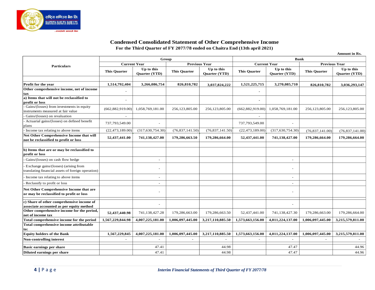

#### **Condensed Consolidated Statement of Other Comprehensive Income For the Third Quarter of FY 2077/78 ended on Chaitra End (13th april 2021)**

**Amount in Rs.**

|                                                                                             | Group               |                             |                      |                             | <b>Bank</b>         |                             |                      |                             |
|---------------------------------------------------------------------------------------------|---------------------|-----------------------------|----------------------|-----------------------------|---------------------|-----------------------------|----------------------|-----------------------------|
| Particulars                                                                                 | <b>Current Year</b> |                             | <b>Previous Year</b> |                             | <b>Current Year</b> |                             | <b>Previous Year</b> |                             |
|                                                                                             | <b>This Quarter</b> | Up to this<br>Quarter (YTD) | <b>This Quarter</b>  | Up to this<br>Quarter (YTD) | <b>This Quarter</b> | Up to this<br>Quarter (YTD) | <b>This Quarter</b>  | Up to this<br>Quarter (YTD) |
| Profit for the year                                                                         | 1,514,792,404       | 3,266,086,754               | 826,810,782          | 3,037,824,222               | 1,521,225,715       | 3,270,085,710               | 826,810,782          | 3,036,293,147               |
| Other comprehensive income, net of income<br>tax                                            |                     |                             |                      |                             |                     |                             |                      |                             |
| a) Items that will not be reclassified to<br>profit or loss                                 | $\overline{a}$      |                             |                      |                             |                     |                             |                      |                             |
| Gains/(losses) from investments in equity<br>instruments measured at fair value             | (662, 882, 919.00)  | 1,058,769,181.00            | 256,123,805.00       | 256,123,805.00              | (662, 882, 919.00)  | 1,058,769,181.00            | 256,123,805.00       | 256,123,805.00              |
| Gains/(losses) on revaluation                                                               | $\blacksquare$      |                             |                      |                             | $\sim$              |                             |                      |                             |
| Actuarial gains/(losses) on defined benefit<br>plans                                        | 737,793,549.00      |                             |                      |                             | 737,793,549.00      |                             |                      |                             |
| Income tax relating to above items                                                          | (22, 473, 189.00)   | (317,630,754.30)            | (76,837,141.50)      | (76,837,141.50)             | (22, 473, 189.00)   | (317,630,754.30)            | (76,837,141.00)      | (76,837,141.00)             |
| Net Other Comprehensive Income that will<br>not be reclassified to profit or loss           | 52,437,441.00       | 741,138,427.00              | 179,286,663.50       | 179,286,664.00              | 52,437,441.00       | 741,138,427.00              | 179,286,664.00       | 179,286,664.00              |
| b) Items that are or may be reclassified to<br>profit or loss                               |                     |                             |                      |                             |                     |                             |                      |                             |
| Gains/(losses) on cash flow hedge                                                           |                     |                             |                      |                             |                     |                             |                      |                             |
| Exchange gains/(losses) (arising from<br>translating financial assets of foreign operation) |                     |                             |                      |                             |                     |                             |                      |                             |
| Income tax relating to above items                                                          |                     |                             |                      |                             |                     |                             |                      |                             |
| Reclassify to profit or loss                                                                |                     |                             |                      |                             |                     |                             |                      |                             |
| Net Other Comprehensive Income that are<br>or may be reclassified to profit or loss         |                     |                             |                      |                             |                     |                             |                      |                             |
| c) Share of other comprehensive income of<br>associate accounted as per equity method       |                     |                             |                      |                             |                     |                             |                      |                             |
| Other comprehensive income for the period,<br>net of income tax                             | 52,437,440.98       | 741,138,427.28              | 179,286,663.00       | 179,286,663.50              | 52,437,441.00       | 741,138,427.30              | 179,286,663.00       | 179,286,664.00              |
| Total comprehensive income for the period                                                   | 1,567,229,844.98    | 4,007,225,181.00            | 1,006,097,445.00     | 3,217,110,885.50            | 1,573,663,156.00    | 4,011,224,137.00            | 1,006,097,445.00     | 3,215,579,811.00            |
| Total comprehensive income attributable<br>to:                                              |                     |                             |                      |                             |                     |                             |                      |                             |
| <b>Equity holders of the Bank</b>                                                           | 1,567,229,845       | 4,007,225,181.00            | 1,006,097,445.00     | 3,217,110,885.50            | 1,573,663,156.00    | 4,011,224,137.00            | 1,006,097,445.00     | 3,215,579,811.00            |
| <b>Non-controlling interest</b>                                                             |                     |                             |                      |                             |                     |                             |                      |                             |
| <b>Basic earnings per share</b>                                                             |                     | 47.41                       |                      | 44.98                       |                     | 47.47                       |                      | 44.96                       |
| Diluted earnings per share                                                                  |                     | 47.41                       |                      | 44.98                       |                     | 47.47                       |                      | 44.96                       |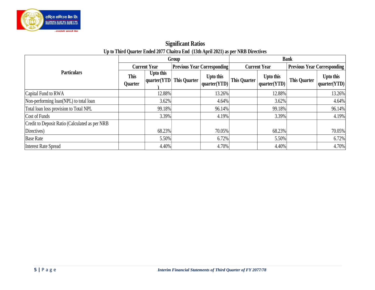

### **Significant Ratios Up to Third Quarter Ended 2077 Chaitra End (13th April 2021) as per NRB Directives**

|                                                |                               |                            | Group               |                                    | <b>Bank</b>  |                           |                     |                                    |
|------------------------------------------------|-------------------------------|----------------------------|---------------------|------------------------------------|--------------|---------------------------|---------------------|------------------------------------|
|                                                |                               | <b>Current Year</b>        |                     | <b>Previous Year Corresponding</b> |              | <b>Current Year</b>       |                     | <b>Previous Year Corresponding</b> |
| <b>Particulars</b>                             | <b>This</b><br><b>Quarter</b> | Upto this<br> quarter(YTD) | <b>This Quarter</b> | Upto this<br>quarter(YTD)          | This Quarter | Upto this<br>quarter(YTD) | <b>This Quarter</b> | Upto this<br> quarter(YTD)         |
| Capital Fund to RWA                            |                               | 12.88%                     |                     | 13.26%                             |              | 12.88%                    |                     | 13.26%                             |
| Non-performing loan(NPL) to total loan         |                               | $3.62\%$                   |                     | 4.64%                              |              | 3.62%                     |                     | 4.64%                              |
| Total loan loss provision to Total NPL         |                               | 99.18%                     |                     | 96.14%                             |              | 99.18%                    |                     | 96.14%                             |
| Cost of Funds                                  |                               | 3.39%                      |                     | 4.19%                              |              | 3.39%                     |                     | 4.19%                              |
| Credit to Deposit Ratio (Calculated as per NRB |                               |                            |                     |                                    |              |                           |                     |                                    |
| Directives)                                    |                               | 68.23%                     |                     | 70.05%                             |              | 68.23%                    |                     | 70.05%                             |
| <b>Base Rate</b>                               |                               | 5.50%                      |                     | 6.72%                              |              | 5.50%                     |                     | 6.72%                              |
| Interest Rate Spread                           |                               | 4.40%                      |                     | 4.70%                              |              | 4.40%                     |                     | 4.70%                              |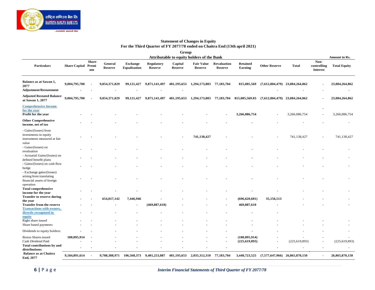

#### **Statement of Changes in Equity For the Third Quarter of FY 2077/78 ended on Chaitra End (13th april 2021)**

|                                                                                               |                            |                    |                           |                                        |                                     | Group                     |                                            |                               |                                   |                                  |                                  |                                        |                     |
|-----------------------------------------------------------------------------------------------|----------------------------|--------------------|---------------------------|----------------------------------------|-------------------------------------|---------------------------|--------------------------------------------|-------------------------------|-----------------------------------|----------------------------------|----------------------------------|----------------------------------------|---------------------|
|                                                                                               |                            |                    |                           |                                        |                                     |                           | Attributable to equity holders of the Bank |                               |                                   |                                  |                                  |                                        | Amount in Rs.       |
| <b>Particulars</b>                                                                            | <b>Share Capital Premi</b> | <b>Share</b><br>um | General<br><b>Reserve</b> | <b>Exchange</b><br><b>Equalisation</b> | <b>Regulatory</b><br><b>Reserve</b> | Capital<br><b>Reserve</b> | <b>Fair Value</b><br><b>Reserve</b>        | Revaluation<br><b>Reserve</b> | <b>Retained</b><br><b>Earning</b> | <b>Other Reserve</b>             | <b>Total</b>                     | Non-<br>controlling<br><b>Interest</b> | <b>Total Equity</b> |
| Balance as at Sawan 1,<br>2077<br><b>Adjustment/Restatement</b>                               | 9,004,795,700              |                    | 9,054,371,829             | 99,121,427                             | 9,871,141,497                       | 481,195,653               | 1,294,173,883                              | 77,183,784                    | 815,085,569                       |                                  | $(7,612,804,479)$ 23,084,264,862 |                                        | 23,084,264,862      |
| <b>Adjusted Restated Balance</b><br>at Sawan 1, 2077                                          | 9,004,795,700              |                    | 9,054,371,829             | 99,121,427                             | 9,871,141,497                       | 481,195,653               | 1,294,173,883                              | 77,183,784                    | 815,085,569.03                    |                                  | $(7,612,804,479)$ 23,084,264,862 |                                        | 23,084,264,862      |
| <b>Comprehensive Income</b><br>for the year<br>Profit for the year                            |                            |                    |                           |                                        |                                     |                           |                                            |                               | 3,266,086,754                     |                                  | 3,266,086,754                    |                                        | 3,266,086,754       |
| <b>Other Comprehensive</b><br>income, net of tax                                              |                            |                    |                           |                                        |                                     |                           |                                            |                               |                                   |                                  |                                  |                                        |                     |
| - Gains/(losses) from<br>investments in equity<br>instruments measured at fair                |                            |                    |                           |                                        |                                     |                           | 741,138,427                                |                               |                                   |                                  | 741,138,427                      |                                        | 741,138,427         |
| value<br>- Gains/(losses) on<br>revaluation                                                   |                            |                    |                           |                                        |                                     |                           |                                            |                               |                                   |                                  |                                  |                                        |                     |
| - Actuarial Gains/(losses) on<br>defined benefit plans<br>- Gains/(losses) on cash flow       |                            |                    |                           |                                        |                                     |                           |                                            |                               |                                   |                                  |                                  |                                        |                     |
| hedge<br>- Exchange gains/(losses)<br>arising from translating<br>financial assets of foreign |                            |                    |                           |                                        |                                     |                           |                                            |                               |                                   |                                  |                                  |                                        |                     |
| operation<br><b>Total comprehensive</b><br>income for the year                                |                            |                    |                           |                                        |                                     |                           |                                            |                               |                                   |                                  |                                  |                                        |                     |
| <b>Transfer to reserve during</b><br>the year                                                 |                            |                    | 654,017,142               | 7,446,946                              |                                     |                           |                                            |                               | (696, 620, 601)                   | 35,156,513                       |                                  |                                        |                     |
| <b>Transfer from the reserve</b><br><b>Transactions with owners,</b>                          |                            |                    |                           |                                        | (469, 887, 610)                     |                           |                                            |                               | 469,887,610                       |                                  |                                  |                                        |                     |
| directly recognized in<br>equity                                                              |                            |                    |                           |                                        |                                     |                           |                                            |                               |                                   |                                  |                                  |                                        |                     |
| Right share issued<br>Share based payments                                                    |                            |                    |                           |                                        |                                     |                           |                                            |                               |                                   |                                  |                                  |                                        |                     |
| Dividends to equity holders:                                                                  |                            |                    |                           |                                        |                                     |                           |                                            |                               |                                   |                                  |                                  |                                        |                     |
| Bonus Shares issued                                                                           | 180,095,914                |                    |                           |                                        |                                     |                           |                                            |                               | (180, 095, 914)                   |                                  |                                  |                                        |                     |
| Cash Dividend Paid                                                                            |                            |                    |                           |                                        |                                     |                           |                                            |                               | (225, 619, 893)                   | $\blacksquare$                   | (225, 619, 893)                  |                                        | (225, 619, 893)     |
| Total contributions by and<br>distributions:                                                  |                            |                    |                           |                                        |                                     |                           |                                            |                               |                                   |                                  |                                  |                                        |                     |
| <b>Balance as at Chaitra</b><br>End, 2077                                                     | 9,184,891,614              |                    | 9,708,388,971             | 106,568,373                            | 9,401,253,887                       | 481,195,653               | 2,035,312,310                              | 77,183,784                    | 3,448,723,525                     | $(7,577,647,966)$ 26,865,870,150 |                                  |                                        | 26,865,870,150      |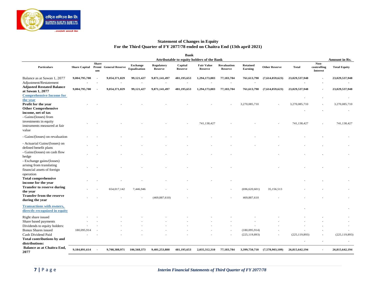

#### **Statement of Changes in Equity For the Third Quarter of FY 2077/78 ended on Chaitra End (13th april 2021)**

|                                                                                                                   |               |                    |                                           |                                 |                              | <b>Bank</b>                   |                                                                                   |                               |                                   |                      |                                           |                                        |                                      |
|-------------------------------------------------------------------------------------------------------------------|---------------|--------------------|-------------------------------------------|---------------------------------|------------------------------|-------------------------------|-----------------------------------------------------------------------------------|-------------------------------|-----------------------------------|----------------------|-------------------------------------------|----------------------------------------|--------------------------------------|
| <b>Particulars</b>                                                                                                |               | <b>Share</b><br>um | Share Capital Premi General Reserve       | <b>Exchange</b><br>Equalisation | <b>Regulatory</b><br>Reserve | Capital<br><b>Reserve</b>     | Attributable to equity holders of the Bank<br><b>Fair Value</b><br><b>Reserve</b> | <b>Revaluation</b><br>Reserve | <b>Retained</b><br><b>Earning</b> | <b>Other Reserve</b> | <b>Total</b>                              | Non-<br>controlling<br><b>Interest</b> | Amount in Rs.<br><b>Total Equity</b> |
| Balance as at Sawan 1, 2077                                                                                       | 9,004,795,700 |                    | 9,054,371,829                             | 99,121,427                      | 9,871,141,497                | 481,195,653                   | 1,294,173,883                                                                     | 77,183,784                    | 761,613,798                       | (7,614,059,623)      | 23,029,537,948                            |                                        | 23,029,537,948                       |
| Adjustment/Restatement<br><b>Adjusted Restated Balance</b><br>at Sawan 1, 2077<br><b>Comprehensive Income for</b> | 9,004,795,700 | . .                | $\overline{\phantom{a}}$<br>9,054,371,829 | $\blacksquare$<br>99,121,427    | 9,871,141,497                | $\blacksquare$<br>481,195,653 | 1,294,173,883                                                                     | $\blacksquare$<br>77,183,784  | 761,613,798                       | (7,614,059,623)      | 23,029,537,948                            |                                        | 23,029,537,948                       |
| the year<br>Profit for the year<br><b>Other Comprehensive</b>                                                     |               |                    |                                           |                                 |                              |                               |                                                                                   |                               | 3,270,085,710                     |                      | $\overline{\phantom{a}}$<br>3,270,085,710 |                                        | 3,270,085,710                        |
| income, net of tax<br>- Gains/(losses) from<br>investments in equity<br>instruments measured at fair<br>value     |               |                    |                                           |                                 |                              |                               | 741,138,427                                                                       |                               |                                   |                      | 741,138,427                               |                                        | 741,138,427                          |
| - Gains/(losses) on revaluation                                                                                   |               |                    |                                           |                                 |                              |                               |                                                                                   |                               |                                   |                      |                                           |                                        |                                      |
| - Actuarial Gains/(losses) on<br>defined benefit plans                                                            |               |                    |                                           |                                 |                              |                               |                                                                                   |                               |                                   |                      |                                           |                                        |                                      |
| - Gains/(losses) on cash flow<br>hedge<br>- Exchange gains/(losses)                                               |               |                    |                                           |                                 |                              |                               |                                                                                   |                               |                                   |                      |                                           |                                        |                                      |
| arising from translating<br>financial assets of foreign<br>operation                                              |               |                    |                                           |                                 |                              |                               |                                                                                   |                               |                                   |                      |                                           |                                        |                                      |
| <b>Total comprehensive</b><br>income for the year                                                                 |               |                    |                                           |                                 |                              |                               |                                                                                   |                               |                                   |                      |                                           |                                        |                                      |
| <b>Transfer to reserve during</b><br>the year                                                                     |               |                    | 654,017,142                               | 7,446,946                       |                              |                               |                                                                                   |                               | (696, 620, 601)                   | 35,156,513           |                                           |                                        |                                      |
| <b>Transfer from the reserve</b><br>during the year                                                               |               |                    |                                           |                                 | (469, 887, 610)              |                               |                                                                                   |                               | 469,887,610                       |                      |                                           |                                        |                                      |
| <b>Transactions with owners,</b><br>directly recognized in equity                                                 |               |                    |                                           |                                 |                              |                               |                                                                                   |                               |                                   |                      |                                           |                                        |                                      |
| Right share issued                                                                                                |               |                    |                                           |                                 |                              |                               |                                                                                   |                               |                                   |                      |                                           |                                        |                                      |
| Share based payments                                                                                              |               |                    |                                           |                                 |                              |                               |                                                                                   |                               |                                   |                      |                                           |                                        |                                      |
| Dividends to equity holders:                                                                                      |               |                    |                                           |                                 |                              |                               |                                                                                   |                               |                                   |                      |                                           |                                        |                                      |
| <b>Bonus Shares issued</b>                                                                                        | 180,095,914   |                    |                                           |                                 |                              |                               |                                                                                   |                               | (180,095,914)                     |                      |                                           |                                        |                                      |
| Cash Dividend Paid                                                                                                |               |                    |                                           |                                 |                              |                               |                                                                                   |                               | (225, 119, 893)                   |                      | (225, 119, 893)                           |                                        | (225, 119, 893)                      |
| Total contributions by and<br>distributions:                                                                      |               |                    |                                           |                                 |                              |                               |                                                                                   |                               |                                   |                      |                                           |                                        |                                      |
| Balance as at Chaitra End,<br>2077                                                                                | 9,184,891,614 |                    | 9,708,388,971                             | 106,568,373                     | 9,401,253,888                | 481,195,653                   | 2,035,312,310                                                                     | 77,183,784                    | 3,399,750,710                     | (7,578,903,109)      | 26,815,642,194                            |                                        | 26,815,642,194                       |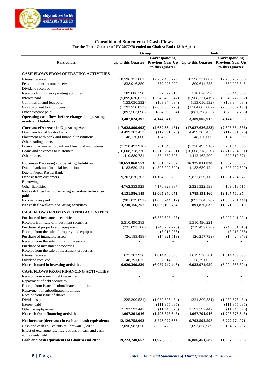

#### **Consolidated Statement of Cash Flows For the Third Quarter of FY 2077/78 ended on Chaitra End ( 13th April)**

|                                                                            | Group            |                 | <b>Bank</b>                                                             |                 |  |  |
|----------------------------------------------------------------------------|------------------|-----------------|-------------------------------------------------------------------------|-----------------|--|--|
|                                                                            |                  | Corresponding   |                                                                         | Corresponding   |  |  |
| <b>Particulars</b>                                                         |                  |                 | Up to this Quarter Previous Year Up Up to this Quarter Previous Year Up |                 |  |  |
|                                                                            |                  | to this Quarter |                                                                         | to this Quarter |  |  |
| <b>CASH FLOWS FROM OPERATING ACTIVITIES</b>                                |                  |                 |                                                                         |                 |  |  |
| Interest received                                                          | 10,596,351,082   | 12,282,465,729  | 10,596,351,082                                                          | 12,280,737,686  |  |  |
| Fees and other income received                                             | 838,916,850      | 552,226,990     | 809,614,753                                                             | 550,993,345     |  |  |
| Dividend received                                                          |                  |                 |                                                                         |                 |  |  |
| Receipts from other operating activities                                   | 709,886,790      | 597,327,915     | 710,876,790                                                             | 596,445,580     |  |  |
| Interest paid                                                              | (5,899,020,022)  | (5,640,488,247) | (5,908,721,419)                                                         | (5,645,772,662) |  |  |
| Commission and fees paid                                                   | (153,050,532)    | (103, 344, 034) | (153,050,532)                                                           | (103, 344, 034) |  |  |
| Cash payment to employees                                                  | (1,793,556,073)  | (2,659,655,778) | (1,784,665,887)                                                         | (2,656,062,193) |  |  |
| Other expense paid                                                         | (892, 503, 698)  | (884, 290, 684) | (881, 398, 875)                                                         | (878, 687, 768) |  |  |
| Operating cash flows before changes in operating<br>assets and liabilities | 3,407,024,397    | 4,144,241,890   | 3,389,005,912                                                           | 4,144,309,953   |  |  |
| (Increase)/Decrease in Operating Assets                                    | (17,928,899,002) | (2,639,334,451) | (17,927,626,583)                                                        | (2,603,554,386) |  |  |
| Due from Nepal Rastra Bank                                                 | 4,499,303,453    | (117,991,876)   | 4,499,303,453                                                           | (117,991,876)   |  |  |
| Placement with bank and financial institutions                             | 48,120,000       | 104,980,000     | 48,120,000                                                              | 104,980,000     |  |  |
| Other trading assets                                                       |                  |                 |                                                                         |                 |  |  |
| Loan and advances to bank and financial institutions                       | (7,278,493,916)  | 251,640,000     | (7,278,493,916)                                                         | 251,640,000     |  |  |
| Loans and advances to customers                                            | (16,608,718,320) | (7,712,794,881) | (16,608,718,320)                                                        | (7,712,794,881) |  |  |
| Other assets                                                               | 1,410,889,781    | 4,834,832,306   | 1,412,162,200                                                           | 4,870,612,371   |  |  |
| Increase/(Decrease) in operating liabilities                               | 18,653,860,753   | 10,561,032,632  | 16,327,811,830                                                          | 10,567,005,387  |  |  |
| Due to bank and financial institutions                                     | 4,183,630,124    | (4,803,797,500) | 4,183,630,124                                                           | (4,803,797,500) |  |  |
| Due to Nepal Rastra Bank                                                   |                  |                 |                                                                         |                 |  |  |
| Deposit from customers                                                     | 9,707,876,707    | 11,194,506,795  | 9,822,859,113                                                           | 11,201,784,372  |  |  |
| <b>Borrowings</b>                                                          |                  |                 |                                                                         |                 |  |  |
| Other liabilities                                                          | 4,762,353,923    | 4,170,323,337   | 2,321,322,593                                                           | 4,169,018,515   |  |  |
| Net cash flow from operating activities before tax                         | 4,131,986,149    | 12,065,940,071  | 1,789,191,160                                                           | 12,107,760,954  |  |  |
| paid                                                                       |                  |                 |                                                                         |                 |  |  |
| Income taxes paid                                                          | (901, 829, 892)  | (1,036,744,317) | (897, 364, 528)<br>891,826,632                                          | (1,036,751,444) |  |  |
| Net cash flow from operating activities                                    | 3,230,156,257    | 11,029,195,754  |                                                                         | 11,071,009,510  |  |  |
| <b>CASH FLOWS FROM INVESTING ACTIVITIES</b>                                |                  |                 |                                                                         |                 |  |  |
| Purchase of investment securities                                          |                  | (6,857,628,423) |                                                                         | (6,902,041,994) |  |  |
| Receipts from sale of investment securities                                | 5,510,490,383    |                 | 5,510,496,221                                                           |                 |  |  |
| Purchase of property and equipment                                         | (231,092,106)    | (249, 232, 220) | (229, 492, 028)                                                         | (246, 551, 610) |  |  |
| Receipt from the sale of property and equipment                            |                  | (3,018,986)     |                                                                         | (3,018,986)     |  |  |
| Purchase of intangible assets                                              | (26, 183, 498)   | (14, 321, 519)  | (26, 257, 799)                                                          | (14, 424, 878)  |  |  |
| Receipt from the sale of intangible assets                                 |                  |                 |                                                                         |                 |  |  |
| Purchase of investment properties                                          |                  |                 |                                                                         |                 |  |  |
| Receipt from the sale of investment properties                             |                  |                 |                                                                         |                 |  |  |
| Interest received                                                          | 1,627,303,976    | 1,014,439,698   | 1,619,936,581                                                           | 1,014,439,698   |  |  |
| Dividend received                                                          | 48,791,075       | 57,514,006      | 58,291,075                                                              | 56,738,875      |  |  |
| Net cash used in investing activities                                      | 6,929,309,830    | (6,052,247,443) | 6,932,974,050                                                           | (6,094,858,894) |  |  |
| <b>CASH FLOWS FROM FINANCING ACTIVITIES</b>                                |                  |                 |                                                                         |                 |  |  |
| Receipt from issue of debt securities                                      |                  |                 |                                                                         |                 |  |  |
| Repayment of debt securities                                               |                  |                 |                                                                         |                 |  |  |
| Receipt from issue of subordinated liabilities                             |                  |                 |                                                                         |                 |  |  |
| Repayment of subordinated liabilities                                      |                  |                 |                                                                         |                 |  |  |
| Receipt from issue of shares                                               |                  |                 |                                                                         |                 |  |  |
| Dividends paid                                                             | (225,300,531)    | (1,080,575,484) | (224,800,531)                                                           | (1,080,575,484) |  |  |
| Interest paid                                                              |                  | (111, 355, 085) |                                                                         | (111, 355, 085) |  |  |
| Other receipt/payment                                                      | 2,192,592,447    | (11, 945, 076)  | 2,192,592,447                                                           | (11, 945, 076)  |  |  |
| Net cash from financing activities                                         | 1,967,291,916    | (1,203,875,645) | 1,967,791,916                                                           | (1,203,875,645) |  |  |
| Net increase (decrease) in cash and cash equivalents                       | 12,126,758,002   | 3,773,072,666   | 9,792,592,598                                                           | 3,772,274,971   |  |  |
| Cash and cash equivalents at Shrawan 1, 2077                               | 7,096,982,650    | 8,202,478,030   | 7,093,858,989                                                           | 8,194,978,237   |  |  |
| Effect of exchange rate fluctuations on cash and cash                      |                  |                 |                                                                         |                 |  |  |
| equivalents held                                                           |                  |                 |                                                                         |                 |  |  |
| Cash and cash equivalents at Chaitra end 2077                              | 19,223,740,652   | 11,975,550,696  | 16,886,451,587                                                          | 11,967,253,208  |  |  |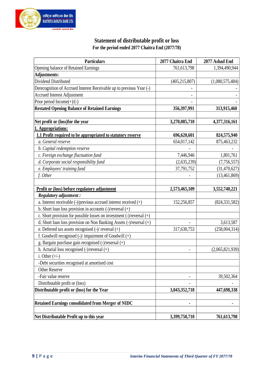

### **Statement of distributable profit or loss For the period ended 2077 Chaitra End (2077/78)**

| <b>Particulars</b>                                                         | 2077 Chaitra End | 2077 Ashad End  |
|----------------------------------------------------------------------------|------------------|-----------------|
| Opening balance of Retained Earnings                                       | 761,613,798      | 1,394,490,944   |
| <b>Adjustments:</b>                                                        |                  |                 |
| Dividend Distributed                                                       | (405, 215, 807)  | (1,080,575,484) |
| Derecognition of Accrued Interest Receivable up to previous Year (-)       |                  |                 |
| <b>Accrued Interest Adjustment</b>                                         |                  |                 |
| Prior period Income $(+)/(-)$                                              |                  |                 |
| <b>Restated Opening Balance of Retained Earnings</b>                       | 356,397,991      | 313,915,460     |
| Net profit or (loss)for the year                                           | 3,270,085,710    | 4,377,316,161   |
| 1. Appropriations:                                                         |                  |                 |
| 1.1 Profit required to be appropriated to statutory reserve                | 696,620,601      | 824,575,940     |
| a. General reserve                                                         | 654,017,142      | 875,463,232     |
| b. Capital redemption reserve                                              |                  |                 |
| c. Foreign exchange fluctuation fund                                       | 7,446,946        | 1,801,761       |
| d. Corporate social responsibility fund                                    | (2,635,239)      | (7, 756, 557)   |
| e. Employees' training fund                                                | 37,791,752       | (31, 470, 627)  |
| f. Other                                                                   |                  | (13, 461, 869)  |
|                                                                            |                  |                 |
| Profit or (loss) before regulatory adjustment                              | 2,573,465,109    | 3,552,740,221   |
| Regulatory adjustment :                                                    |                  |                 |
| a. Interest receivable (-)/previous accrued interest received (+)          | 152,256,857      | (824, 331, 582) |
| b. Short loan loss provision in accounts (-)/reversal (+)                  |                  |                 |
| c. Short provision for possible losses on investment $(-)/$ reversal $(+)$ |                  |                 |
| d. Short loan loss provision on Non Banking Assets (-)/resersal (+)        |                  | 3,613,587       |
| e. Deferred tax assets recognised (-)/ reversal (+)                        | 317,630,753      | (258, 004, 314) |
| f. Goodwill recognised (-)/ impairment of Goodwill (+)                     |                  |                 |
| g. Bargain purchase gain recognised (-)/resersal (+)                       |                  |                 |
| h. Acturial loss recognised $(\text{-})$ /reversal $(\text{+})$            |                  | (2,065,821,939) |
| i. Other $(+/-)$                                                           |                  |                 |
| -Debt securities recognised at amortised cost                              |                  |                 |
| <b>Other Reserve</b>                                                       |                  |                 |
| -Fair value reserve                                                        |                  | 39,502,364      |
| Distributable profit or (loss)                                             |                  |                 |
| Distributable profit or (loss) for the Year                                | 3,043,352,718    | 447,698,338     |
| <b>Retained Earnings consolidated from Merger of NIDC</b>                  |                  |                 |
| Net Distributable Profit up to this year                                   | 3,399,750,710    | 761,613,798     |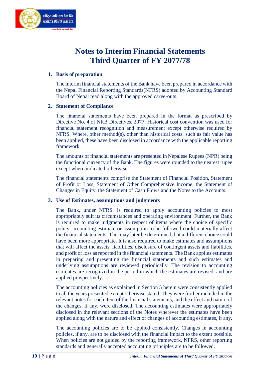

## **Notes to Interim Financial Statements Third Quarter of FY 2077/78**

#### **1. Basis of preparation**

The interim financial statements of the Bank have been prepared in accordance with the Nepal Financial Reporting Standards(NFRS) adopted by Accounting Standard Board of Nepal read along with the approved carve-outs.

#### **2. Statement of Compliance**

The financial statements have been prepared in the format as prescribed by Directive No. 4 of NRB Directives, 2077. Historical cost convention was used for financial statement recognition and measurement except otherwise required by NFRS. Where, other method(s), other than historical costs, such as fair value has been applied, these have been disclosed in accordance with the applicable reporting framework.

The amounts of financial statements are presented in Nepalese Rupees (NPR) being the functional currency of the Bank. The figures were rounded to the nearest rupee except where indicated otherwise.

The financial statements comprise the Statement of Financial Position, Statement of Profit or Loss, Statement of Other Comprehensive Income, the Statement of Changes in Equity, the Statement of Cash Flows and the Notes to the Accounts.

#### **3. Use of Estimates, assumptions and judgments**

The Bank, under NFRS, is required to apply accounting policies to most appropriately suit its circumstances and operating environment. Further, the Bank is required to make judgments in respect of items where the choice of specific policy, accounting estimate or assumption to be followed could materially affect the financial statements. This may later be determined that a different choice could have been more appropriate. It is also required to make estimates and assumptions that will affect the assets, liabilities, disclosure of contingent assets and liabilities, and profit or loss as reported in the financial statements. The Bank applies estimates in preparing and presenting the financial statements and such estimates and underlying assumptions are reviewed periodically. The revision to accounting estimates are recognized in the period in which the estimates are revised, and are applied prospectively.

The accounting policies as explained in Section 5 herein were consistently applied to all the years presented except otherwise stated. They were further included in the relevant notes for each item of the financial statements, and the effect and nature of the changes, if any, were disclosed. The accounting estimates were appropriately disclosed in the relevant sections of the Notes wherever the estimates have been applied along with the nature and effect of changes of accounting estimates, if any.

The accounting policies are to be applied consistently. Changes in accounting policies, if any, are to be disclosed with the financial impact to the extent possible. When policies are not guided by the reporting framework, NFRS, other reporting standards and generally accepted accounting principles are to be followed.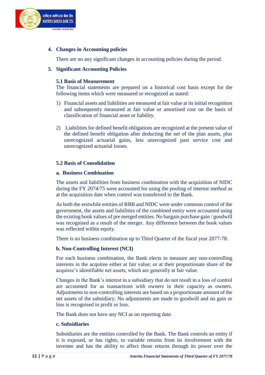

#### **4. Changes in Accounting policies**

There are no any significant changes in accounting policies during the period.

#### **5. Significant Accounting Policies**

#### **5.1 Basis of Measurement**

The financial statements are prepared on a historical cost basis except for the following items which were measured or recognized as stated:

- 1) Financial assets and liabilities are measured at fair value at its initial recognition and subsequently measured at fair value or amortised cost on the basis of classification of financial asset or liability.
- 2) Liabilities for defined benefit obligations are recognized at the present value of the defined benefit obligation after deducting the net of the plan assets, plus unrecognized actuarial gains, less unrecognized past service cost and unrecognized actuarial losses.

#### **5.2 Basis of Consolidation**

#### **a. Business Combination**

The assets and liabilities from business combination with the acquisition of NIDC during the FY 2074/75 were accounted for using the pooling of interest method as at the acquisition date when control was transferred to the Bank.

As both the erstwhile entities of RBB and NIDC were under common control of the government, the assets and liabilities of the combined entity were accounted using the existing book values of pre merged entities. No bargain purchase gain / goodwill was recognised as a result of the merger. Any difference between the book values was reflected within equity.

There is no business combination up to Third Quarter of the fiscal year 2077-78.

#### **b. Non-Controlling Interest (NCI)**

For each business combination, the Bank elects to measure any non-controlling interests in the acquiree either at fair value; or at their proportionate share of the acquiree's identifiable net assets, which are generally at fair value.

Changes in the Bank's interest in a subsidiary that do not result in a loss of control are accounted for as transactions with owners in their capacity as owners. Adjustments to non-controlling interests are based on a proportionate amount of the net assets of the subsidiary. No adjustments are made to goodwill and no gain or loss is recognised in profit or loss.

The Bank does not have any NCI as on reporting date.

#### **c. Subsidiaries**

Subsidiaries are the entities controlled by the Bank. The Bank controls an entity if it is exposed, or has rights, to variable returns from its involvement with the investee and has the ability to affect those returns through its power over the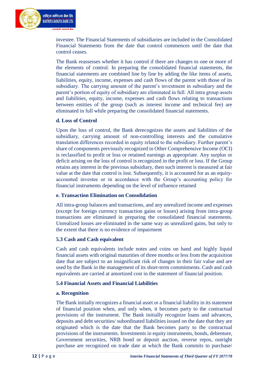

investee. The Financial Statements of subsidiaries are included in the Consolidated Financial Statements from the date that control commences until the date that control ceases.

The Bank reassesses whether it has control if there are changes to one or more of the elements of control. In preparing the consolidated financial statements, the financial statements are combined line by line by adding the like items of assets, liabilities, equity, income, expenses and cash flows of the parent with those of its subsidiary. The carrying amount of the parent's investment in subsidiary and the parent's portion of equity of subsidiary are eliminated in full. All intra group assets and liabilities, equity, income, expenses and cash flows relating to transactions between entities of the group (such as interest income and technical fee) are eliminated in full while preparing the consolidated financial statements.

#### **d. Loss of Control**

Upon the loss of control, the Bank derecognizes the assets and liabilities of the subsidiary, carrying amount of non-controlling interests and the cumulative translation differences recorded in equity related to the subsidiary. Further parent's share of components previously recognized in Other Comprehensive Income (OCI) is reclassified to profit or loss or retained earnings as appropriate. Any surplus or deficit arising on the loss of control is recognized in the profit or loss. If the Group retains any interest in the previous subsidiary, then such interest is measured at fair value at the date that control is lost. Subsequently, it is accounted for as an equityaccounted investee or in accordance with the Group's accounting policy for financial instruments depending on the level of influence retained

#### **e. Transaction Elimination on Consolidation**

All intra-group balances and transactions, and any unrealized income and expenses (except for foreign currency transaction gains or losses) arising from intra-group transactions are eliminated in preparing the consolidated financial statements. Unrealized losses are eliminated in the same way as unrealized gains, but only to the extent that there is no evidence of impairment

#### **5.3 Cash and Cash equivalent**

Cash and cash equivalents include notes and coins on hand and highly liquid financial assets with original maturities of three months or less from the acquisition date that are subject to an insignificant risk of changes in their fair value and are used by the Bank in the management of its short-term commitments. Cash and cash equivalents are carried at amortized cost in the statement of financial position.

#### **5.4 Financial Assets and Financial Liabilities**

#### **a. Recognition**

The Bank initially recognizes a financial asset or a financial liability in its statement of financial position when, and only when, it becomes party to the contractual provisions of the instrument. The Bank initially recognize loans and advances, deposits and debt securities/ subordinated liabilities issued on the date that they are originated which is the date that the Bank becomes party to the contractual provisions of the instruments. Investments in equity instruments, bonds, debenture, Government securities, NRB bond or deposit auction, reverse repos, outright purchase are recognized on trade date at which the Bank commits to purchase/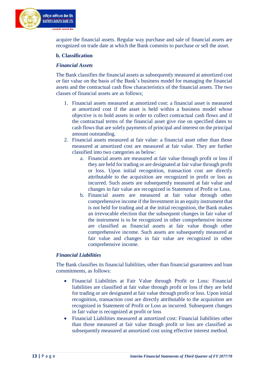

acquire the financial assets. Regular way purchase and sale of financial assets are recognized on trade date at which the Bank commits to purchase or sell the asset.

#### **b. Classification**

#### *Financial Assets*

The Bank classifies the financial assets as subsequently measured at amortized cost or fair value on the basis of the Bank's business model for managing the financial assets and the contractual cash flow characteristics of the financial assets. The two classes of financial assets are as follows;

- 1. Financial assets measured at amortized cost: a financial asset is measured at amortized cost if the asset is held within a business model whose objective is to hold assets in order to collect contractual cash flows and if the contractual terms of the financial asset give rise on specified dates to cash flows that are solely payments of principal and interest on the principal amount outstanding.
- 2. Financial assets measured at fair value: a financial asset other than those measured at amortized cost are measured at fair value. They are further classified into two categories as below:
	- a. Financial assets are measured at fair value through profit or loss if they are held for trading or are designated at fair value through profit or loss. Upon initial recognition, transaction cost are directly attributable to the acquisition are recognized in profit or loss as incurred. Such assets are subsequently measured at fair value and changes in fair value are recognized in Statement of Profit or Loss.
	- b. Financial assets are measured at fair value through other comprehensive income if the Investment in an equity instrument that is not held for trading and at the initial recognition, the Bank makes an irrevocable election that the subsequent changes in fair value of the instrument is to be recognized in other comprehensive income are classified as financial assets at fair value though other comprehensive income. Such assets are subsequently measured at fair value and changes in fair value are recognized in other comprehensive income.

#### *Financial Liabilities*

The Bank classifies its financial liabilities, other than financial guarantees and loan commitments, as follows:

- Financial Liabilities at Fair Value through Profit or Loss: Financial liabilities are classified at fair value through profit or loss if they are held for trading or are designated at fair value through profit or loss. Upon initial recognition, transaction cost are directly attributable to the acquisition are recognized in Statement of Profit or Loss as incurred. Subsequent changes in fair value is recognized at profit or loss
- Financial Liabilities measured at amortized cost: Financial liabilities other than those measured at fair value though profit or loss are classified as subsequently measured at amortized cost using effective interest method.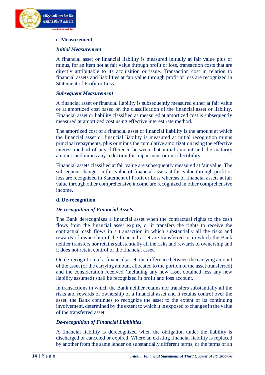

#### **c. Measurement**

#### *Initial Measurement*

A financial asset or financial liability is measured initially at fair value plus or minus, for an item not at fair value through profit or loss, transaction costs that are directly attributable to its acquisition or issue. Transaction cost in relation to financial assets and liabilities at fair value through profit or loss are recognized in Statement of Profit or Loss.

#### *Subsequent Measurement*

A financial asset or financial liability is subsequently measured either at fair value or at amortized cost based on the classification of the financial asset or liability. Financial asset or liability classified as measured at amortized cost is subsequently measured at amortized cost using effective interest rate method.

The amortized cost of a financial asset or financial liability is the amount at which the financial asset or financial liability is measured at initial recognition minus principal repayments, plus or minus the cumulative amortization using the effective interest method of any difference between that initial amount and the maturity amount, and minus any reduction for impairment or uncollectibility.

Financial assets classified at fair value are subsequently measured at fair value. The subsequent changes in fair value of financial assets at fair value through profit or loss are recognized in Statement of Profit or Loss whereas of financial assets at fair value through other comprehensive income are recognized in other comprehensive income.

#### **d. De-recognition**

#### *De-recognition of Financial Assets*

The Bank derecognizes a financial asset when the contractual rights to the cash flows from the financial asset expire, or it transfers the rights to receive the contractual cash flows in a transaction in which substantially all the risks and rewards of ownership of the financial asset are transferred or in which the Bank neither transfers nor retains substantially all the risks and rewards of ownership and it does not retain control of the financial asset.

On de-recognition of a financial asset, the difference between the carrying amount of the asset (or the carrying amount allocated to the portion of the asset transferred) and the consideration received (including any new asset obtained less any new liability assumed) shall be recognized in profit and loss account.

In transactions in which the Bank neither retains nor transfers substantially all the risks and rewards of ownership of a financial asset and it retains control over the asset, the Bank continues to recognize the asset to the extent of its continuing involvement, determined by the extent to which it is exposed to changes in the value of the transferred asset.

#### *De-recognition of Financial Liabilities*

A financial liability is derecognized when the obligation under the liability is discharged or canceled or expired. Where an existing financial liability is replaced by another from the same lender on substantially different terms, or the terms of an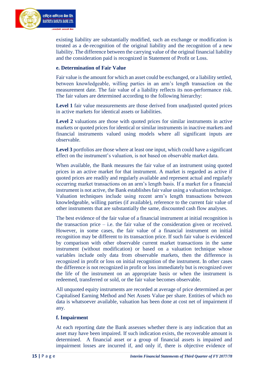

existing liability are substantially modified, such an exchange or modification is treated as a de-recognition of the original liability and the recognition of a new liability. The difference between the carrying value of the original financial liability and the consideration paid is recognized in Statement of Profit or Loss.

#### **e. Determination of Fair Value**

Fair value is the amount for which an asset could be exchanged, or a liability settled, between knowledgeable, willing parties in an arm's length transaction on the measurement date. The fair value of a liability reflects its non-performance risk. The fair values are determined according to the following hierarchy:

Level 1 fair value measurements are those derived from unadjusted quoted prices in active markets for identical assets or liabilities.

**Level 2** valuations are those with quoted prices for similar instruments in active markets or quoted prices for identical or similar instruments in inactive markets and financial instruments valued using models where all significant inputs are observable.

**Level 3** portfolios are those where at least one input, which could have a significant effect on the instrument's valuation, is not based on observable market data.

When available, the Bank measures the fair value of an instrument using quoted prices in an active market for that instrument. A market is regarded as active if quoted prices are readily and regularly available and represent actual and regularly occurring market transactions on an arm's length basis. If a market for a financial instrument is not active, the Bank establishes fair value using a valuation technique. Valuation techniques include using recent arm's length transactions between knowledgeable, willing parties (if available), reference to the current fair value of other instruments that are substantially the same, discounted cash flow analyses.

The best evidence of the fair value of a financial instrument at initial recognition is the transaction price  $-$  i.e. the fair value of the consideration given or received. However, in some cases, the fair value of a financial instrument on initial recognition may be different to its transaction price. If such fair value is evidenced by comparison with other observable current market transactions in the same instrument (without modification) or based on a valuation technique whose variables include only data from observable markets, then the difference is recognized in profit or loss on initial recognition of the instrument. In other cases the difference is not recognized in profit or loss immediately but is recognized over the life of the instrument on an appropriate basis or when the instrument is redeemed, transferred or sold, or the fair value becomes observable.

All unquoted equity instruments are recorded at average of price determined as per Capitalised Earning Method and Net Assets Value per share. Entities of which no data is whatsoever available, valuation has been done at cost net of impairment if any.

#### **f. Impairment**

At each reporting date the Bank assesses whether there is any indication that an asset may have been impaired. If such indication exists, the recoverable amount is determined. A financial asset or a group of financial assets is impaired and impairment losses are incurred if, and only if, there is objective evidence of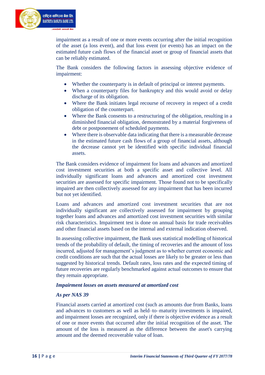

impairment as a result of one or more events occurring after the initial recognition of the asset (a loss event), and that loss event (or events) has an impact on the estimated future cash flows of the financial asset or group of financial assets that can be reliably estimated.

The Bank considers the following factors in assessing objective evidence of impairment:

- Whether the counterparty is in default of principal or interest payments.
- When a counterparty files for bankruptcy and this would avoid or delay discharge of its obligation.
- Where the Bank initiates legal recourse of recovery in respect of a credit obligation of the counterpart.
- Where the Bank consents to a restructuring of the obligation, resulting in a diminished financial obligation, demonstrated by a material forgiveness of debt or postponement of scheduled payments.
- Where there is observable data indicating that there is a measurable decrease in the estimated future cash flows of a group of financial assets, although the decrease cannot yet be identified with specific individual financial assets.

The Bank considers evidence of impairment for loans and advances and amortized cost investment securities at both a specific asset and collective level. All individually significant loans and advances and amortized cost investment securities are assessed for specific impairment. Those found not to be specifically impaired are then collectively assessed for any impairment that has been incurred but not yet identified.

Loans and advances and amortized cost investment securities that are not individually significant are collectively assessed for impairment by grouping together loans and advances and amortized cost investment securities with similar risk characteristics. Impairment test is done on annual basis for trade receivables and other financial assets based on the internal and external indication observed.

In assessing collective impairment, the Bank uses statistical modelling of historical trends of the probability of default, the timing of recoveries and the amount of loss incurred, adjusted for management's judgment as to whether current economic and credit conditions are such that the actual losses are likely to be greater or less than suggested by historical trends. Default rates, loss rates and the expected timing of future recoveries are regularly benchmarked against actual outcomes to ensure that they remain appropriate.

#### *Impairment losses on assets measured at amortized cost*

#### *As per NAS 39*

Financial assets carried at amortized cost (such as amounts due from Banks, loans and advances to customers as well as held–to–maturity investments is impaired, and impairment losses are recognized, only if there is objective evidence as a result of one or more events that occurred after the initial recognition of the asset. The amount of the loss is measured as the difference between the asset's carrying amount and the deemed recoverable value of loan.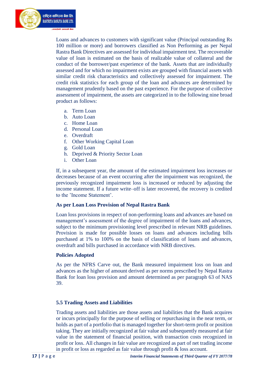

Loans and advances to customers with significant value (Principal outstanding Rs 100 million or more) and borrowers classified as Non Performing as per Nepal Rastra Bank Directives are assessed for individual impairment test. The recoverable value of loan is estimated on the basis of realizable value of collateral and the conduct of the borrower/past experience of the bank. Assets that are individually assessed and for which no impairment exists are grouped with financial assets with similar credit risk characteristics and collectively assessed for impairment. The credit risk statistics for each group of the loan and advances are determined by management prudently based on the past experience. For the purpose of collective assessment of impairment, the assets are categorized in to the following nine broad product as follows:

- a. Term Loan
- b. Auto Loan
- c. Home Loan
- d. Personal Loan
- e. Overdraft
- f. Other Working Capital Loan
- g. Gold Loan
- h. Deprived & Priority Sector Loan
- i. Other Loan

If, in a subsequent year, the amount of the estimated impairment loss increases or decreases because of an event occurring after the impairment was recognized, the previously recognized impairment loss is increased or reduced by adjusting the income statement. If a future write–off is later recovered, the recovery is credited to the 'Income Statement'.

#### **As per Loan Loss Provision of Nepal Rastra Bank**

Loan loss provisions in respect of non-performing loans and advances are based on management's assessment of the degree of impairment of the loans and advances, subject to the minimum provisioning level prescribed in relevant NRB guidelines. Provision is made for possible losses on loans and advances including bills purchased at 1% to 100% on the basis of classification of loans and advances, overdraft and bills purchased in accordance with NRB directives.

#### **Policies Adopted**

As per the NFRS Carve out, the Bank measured impairment loss on loan and advances as the higher of amount derived as per norms prescribed by Nepal Rastra Bank for loan loss provision and amount determined as per paragraph 63 of NAS 39.

#### **5.5 Trading Assets and Liabilities**

Trading assets and liabilities are those assets and liabilities that the Bank acquires or incurs principally for the purpose of selling or repurchasing in the near term, or holds as part of a portfolio that is managed together for short-term profit or position taking. They are initially recognized at fair value and subsequently measured at fair value in the statement of financial position, with transaction costs recognized in profit or loss. All changes in fair value are recognized as part of net trading income in profit or loss as regarded as fair value through profit & loss account.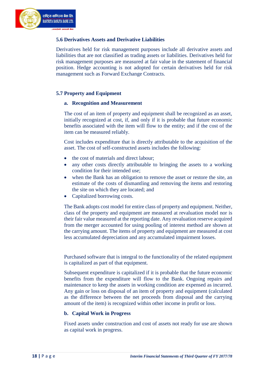

#### **5.6 Derivatives Assets and Derivative Liabilities**

Derivatives held for risk management purposes include all derivative assets and liabilities that are not classified as trading assets or liabilities. Derivatives held for risk management purposes are measured at fair value in the statement of financial position. Hedge accounting is not adopted for certain derivatives held for risk management such as Forward Exchange Contracts.

#### **5.7 Property and Equipment**

#### **a. Recognition and Measurement**

The cost of an item of property and equipment shall be recognized as an asset, initially recognized at cost, if, and only if it is probable that future economic benefits associated with the item will flow to the entity; and if the cost of the item can be measured reliably.

Cost includes expenditure that is directly attributable to the acquisition of the asset. The cost of self-constructed assets includes the following:

- the cost of materials and direct labour;
- any other costs directly attributable to bringing the assets to a working condition for their intended use;
- when the Bank has an obligation to remove the asset or restore the site, an estimate of the costs of dismantling and removing the items and restoring the site on which they are located; and
- Capitalized borrowing costs.

The Bank adopts cost model for entire class of property and equipment. Neither, class of the property and equipment are measured at revaluation model nor is their fair value measured at the reporting date. Any revaluation reserve acquired from the merger accounted for using pooling of interest method are shown at the carrying amount. The items of property and equipment are measured at cost less accumulated depreciation and any accumulated impairment losses.

Purchased software that is integral to the functionality of the related equipment is capitalized as part of that equipment.

Subsequent expenditure is capitalized if it is probable that the future economic benefits from the expenditure will flow to the Bank. Ongoing repairs and maintenance to keep the assets in working condition are expensed as incurred. Any gain or loss on disposal of an item of property and equipment (calculated as the difference between the net proceeds from disposal and the carrying amount of the item) is recognized within other income in profit or loss.

#### **b. Capital Work in Progress**

Fixed assets under construction and cost of assets not ready for use are shown as capital work in progress.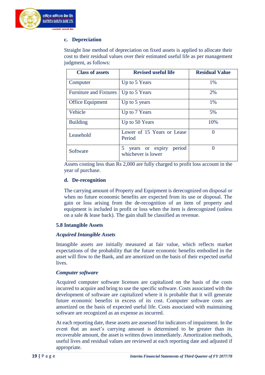

#### **c. Depreciation**

Straight line method of depreciation on fixed assets is applied to allocate their cost to their residual values over their estimated useful life as per management judgment, as follows:

| <b>Class of assets</b>        | <b>Revised useful life</b>                           | <b>Residual Value</b> |
|-------------------------------|------------------------------------------------------|-----------------------|
| Computer                      | Up to 5 Years                                        | 1%                    |
| <b>Furniture and Fixtures</b> | Up to 5 Years                                        | 2%                    |
| <b>Office Equipment</b>       | Up to 5 years                                        | 1%                    |
| Vehicle                       | Up to 7 Years                                        | 5%                    |
| <b>Building</b>               | Up to 50 Years                                       | 10%                   |
| Leasehold                     | Lower of 15 Years or Lease<br>Period                 | 0                     |
| Software                      | period<br>5<br>years or expiry<br>whichever is lower | 0                     |

Assets costing less than Rs 2,000 are fully charged to profit loss account in the year of purchase.

#### **d. De-recognition**

The carrying amount of Property and Equipment is derecognized on disposal or when no future economic benefits are expected from its use or disposal. The gain or loss arising from the de-recognition of an item of property and equipment is included in profit or loss when the item is derecognized (unless on a sale & lease back). The gain shall be classified as revenue.

#### **5.8 Intangible Assets**

#### *Acquired Intangible Assets*

Intangible assets are initially measured at fair value, which reflects market expectations of the probability that the future economic benefits embodied in the asset will flow to the Bank, and are amortized on the basis of their expected useful **lives** 

#### *Computer software*

Acquired computer software licenses are capitalized on the basis of the costs incurred to acquire and bring to use the specific software. Costs associated with the development of software are capitalized where it is probable that it will generate future economic benefits in excess of its cost. Computer software costs are amortized on the basis of expected useful life. Costs associated with maintaining software are recognized as an expense as incurred.

At each reporting date, these assets are assessed for indicators of impairment. In the event that an asset's carrying amount is determined to be greater than its recoverable amount, the asset is written down immediately. Amortization methods, useful lives and residual values are reviewed at each reporting date and adjusted if appropriate.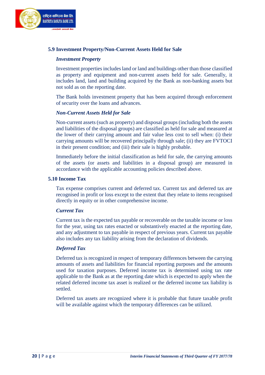

#### **5.9 Investment Property/Non-Current Assets Held for Sale**

#### *Investment Property*

Investment properties includes land or land and buildings other than those classified as property and equipment and non-current assets held for sale. Generally, it includes land, land and building acquired by the Bank as non-banking assets but not sold as on the reporting date.

The Bank holds investment property that has been acquired through enforcement of security over the loans and advances.

#### *Non-Current Assets Held for Sale*

Non-current assets (such as property) and disposal groups (including both the assets and liabilities of the disposal groups) are classified as held for sale and measured at the lower of their carrying amount and fair value less cost to sell when: (i) their carrying amounts will be recovered principally through sale; (ii) they are FVTOCI in their present condition; and (iii) their sale is highly probable.

Immediately before the initial classification as held for sale, the carrying amounts of the assets (or assets and liabilities in a disposal group) are measured in accordance with the applicable accounting policies described above.

#### **5.10 Income Tax**

Tax expense comprises current and deferred tax. Current tax and deferred tax are recognised in profit or loss except to the extent that they relate to items recognised directly in equity or in other comprehensive income.

#### *Current Tax*

Current tax is the expected tax payable or recoverable on the taxable income or loss for the year, using tax rates enacted or substantively enacted at the reporting date, and any adjustment to tax payable in respect of previous years. Current tax payable also includes any tax liability arising from the declaration of dividends.

#### *Deferred Tax*

Deferred tax is recognized in respect of temporary differences between the carrying amounts of assets and liabilities for financial reporting purposes and the amounts used for taxation purposes. Deferred income tax is determined using tax rate applicable to the Bank as at the reporting date which is expected to apply when the related deferred income tax asset is realized or the deferred income tax liability is settled.

Deferred tax assets are recognized where it is probable that future taxable profit will be available against which the temporary differences can be utilized.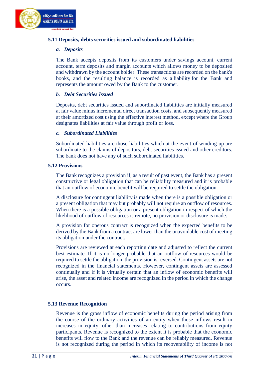

#### **5.11 Deposits, debts securities issued and subordinated liabilities**

#### *a. Deposits*

The Bank accepts deposits from its customers under [savings account,](https://en.wikipedia.org/wiki/Savings_account) [current](https://en.wikipedia.org/wiki/Transaction_account#Current_accounts)  [account,](https://en.wikipedia.org/wiki/Transaction_account#Current_accounts) term deposits and margin accounts which allows [money](https://en.wikipedia.org/wiki/Money) to be deposited and withdrawn by the account holder. These transactions are recorded on the bank's books, and the resulting balance is recorded as a [liability](https://en.wikipedia.org/wiki/Liability_(accounting)) for the Bank and represents the amount owed by the Bank to the customer.

#### *b. Debt Securities Issued*

Deposits, debt securities issued and subordinated liabilities are initially measured at fair value minus incremental direct transaction costs, and subsequently measured at their amortized cost using the effective interest method, except where the Group designates liabilities at fair value through profit or loss.

#### *c. Subordinated Liabilities*

Subordinated liabilities are those liabilities which at the event of winding up are subordinate to the claims of depositors, debt securities issued and other creditors. The bank does not have any of such subordinated liabilities.

#### **5.12 Provisions**

The Bank recognizes a provision if, as a result of past event, the Bank has a present constructive or legal obligation that can be reliability measured and it is probable that an outflow of economic benefit will be required to settle the obligation.

A disclosure for contingent liability is made when there is a possible obligation or a present obligation that may but probably will not require an outflow of resources. When there is a possible obligation or a present obligation in respect of which the likelihood of outflow of resources is remote, no provision or disclosure is made.

A provision for onerous contract is recognized when the expected benefits to be derived by the Bank from a contract are lower than the unavoidable cost of meeting its obligation under the contract.

Provisions are reviewed at each reporting date and adjusted to reflect the current best estimate. If it is no longer probable that an outflow of resources would be required to settle the obligation, the provision is reversed. Contingent assets are not recognized in the financial statements. However, contingent assets are assessed continually and if it is virtually certain that an inflow of economic benefits will arise, the asset and related income are recognized in the period in which the change occurs.

#### **5.13 Revenue Recognition**

Revenue is the gross inflow of economic benefits during the period arising from the course of the ordinary activities of an entity when those inflows result in increases in equity, other than increases relating to contributions from equity participants. Revenue is recognized to the extent it is probable that the economic benefits will flow to the Bank and the revenue can be reliably measured. Revenue is not recognized during the period in which its recoverability of income is not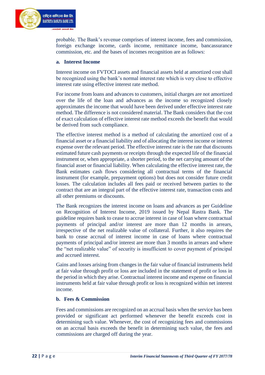

probable. The Bank's revenue comprises of interest income, fees and commission, foreign exchange income, cards income, remittance income, bancassurance commission, etc. and the bases of incomes recognition are as follows:

#### **a. Interest Income**

Interest income on FVTOCI assets and financial assets held at amortized cost shall be recognized using the bank's normal interest rate which is very close to effective interest rate using effective interest rate method.

For income from loans and advances to customers, initial charges are not amortized over the life of the loan and advances as the income so recognized closely approximates the income that would have been derived under effective interest rate method. The difference is not considered material. The Bank considers that the cost of exact calculation of effective interest rate method exceeds the benefit that would be derived from such compliance.

The effective interest method is a method of calculating the amortized cost of a financial asset or a financial liability and of allocating the interest income or interest expense over the relevant period. The effective interest rate is the rate that discounts estimated future cash payments or receipts through the expected life of the financial instrument or, when appropriate, a shorter period, to the net carrying amount of the financial asset or financial liability. When calculating the effective interest rate, the Bank estimates cash flows considering all contractual terms of the financial instrument (for example, prepayment options) but does not consider future credit losses. The calculation includes all fees paid or received between parties to the contract that are an integral part of the effective interest rate, transaction costs and all other premiums or discounts.

The Bank recognizes the interest income on loans and advances as per Guideline on Recognition of Interest Income, 2019 issued by Nepal Rastra Bank. The guideline requires bank to cease to accrue interest in case of loan where contractual payments of principal and/or interest are more than 12 months in arrears, irrespective of the net realizable value of collateral. Further, it also requires the bank to cease accrual of interest income in case of loans where contractual payments of principal and/or interest are more than 3 months in arrears and where the "net realizable value" of security is insufficient to cover payment of principal and accrued interest.

Gains and losses arising from changes in the fair value of financial instruments held at fair value through profit or loss are included in the statement of profit or loss in the period in which they arise. Contractual interest income and expense on financial instruments held at fair value through profit or loss is recognized within net interest income.

#### **b. Fees & Commission**

Fees and commissions are recognized on an accrual basis when the service has been provided or significant act performed whenever the benefit exceeds cost in determining such value. Whenever, the cost of recognizing fees and commissions on an accrual basis exceeds the benefit in determining such value, the fees and commissions are charged off during the year.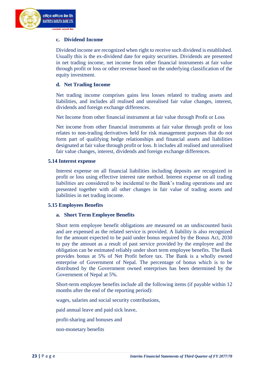#### **c. Dividend Income**

Dividend income are recognized when right to receive such dividend is established. Usually this is the ex-dividend date for equity securities. Dividends are presented in net trading income, net income from other financial instruments at fair value through profit or loss or other revenue based on the underlying classification of the equity investment.

#### **d. Net Trading Income**

Net trading income comprises gains less losses related to trading assets and liabilities, and includes all realised and unrealised fair value changes, interest, dividends and foreign exchange differences.

Net Income from other financial instrument at fair value through Profit or Loss

Net income from other financial instruments at fair value through profit or loss relates to non-trading derivatives held for risk management purposes that do not form part of qualifying hedge relationships and financial assets and liabilities designated at fair value through profit or loss. It includes all realised and unrealised fair value changes, interest, dividends and foreign exchange differences.

#### **5.14 Interest expense**

Interest expense on all financial liabilities including deposits are recognized in profit or loss using effective interest rate method. Interest expense on all trading liabilities are considered to be incidental to the Bank's trading operations and are presented together with all other changes in fair value of trading assets and liabilities in net trading income.

#### **5.15 Employees Benefits**

#### **a. Short Term Employee Benefits**

Short term employee benefit obligations are measured on an undiscounted basis and are expensed as the related service is provided. A liability is also recognized for the amount expected to be paid under bonus required by the Bonus Act, 2030 to pay the amount as a result of past service provided by the employee and the obligation can be estimated reliably under short term employee benefits. The Bank provides bonus at 5% of Net Profit before tax. The Bank is a wholly owned enterprise of Government of Nepal. The percentage of bonus which is to be distributed by the Government owned enterprises has been determined by the Government of Nepal at 5%.

Short-term employee benefits include all the following items (if payable within 12 months after the end of the reporting period):

wages, salaries and social security contributions,

paid annual leave and paid sick leave,

profit-sharing and bonuses and

non-monetary benefits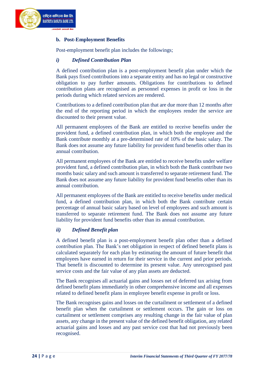

#### **b. Post-Employment Benefits**

Post-employment benefit plan includes the followings;

#### *i) Defined Contribution Plan*

A defined contribution plan is a post-employment benefit plan under which the Bank pays fixed contributions into a separate entity and has no legal or constructive obligation to pay further amounts. Obligations for contributions to defined contribution plans are recognised as personnel expenses in profit or loss in the periods during which related services are rendered.

Contributions to a defined contribution plan that are due more than 12 months after the end of the reporting period in which the employees render the service are discounted to their present value.

All permanent employees of the Bank are entitled to receive benefits under the provident fund, a defined contribution plan, in which both the employee and the Bank contribute monthly at a pre-determined rate of 10% of the basic salary. The Bank does not assume any future liability for provident fund benefits other than its annual contribution.

All permanent employees of the Bank are entitled to receive benefits under welfare provident fund, a defined contribution plan, in which both the Bank contribute two months basic salary and such amount is transferred to separate retirement fund. The Bank does not assume any future liability for provident fund benefits other than its annual contribution.

All permanent employees of the Bank are entitled to receive benefits under medical fund, a defined contribution plan, in which both the Bank contribute certain percentage of annual basic salary based on level of employees and such amount is transferred to separate retirement fund. The Bank does not assume any future liability for provident fund benefits other than its annual contribution.

#### *ii) Defined Benefit plan*

A defined benefit plan is a post-employment benefit plan other than a defined contribution plan. The Bank's net obligation in respect of defined benefit plans is calculated separately for each plan by estimating the amount of future benefit that employees have earned in return for their service in the current and prior periods. That benefit is discounted to determine its present value. Any unrecognised past service costs and the fair value of any plan assets are deducted.

The Bank recognises all actuarial gains and losses net of deferred tax arising from defined benefit plans immediately in other comprehensive income and all expenses related to defined benefit plans in employee benefit expense in profit or loss.

The Bank recognises gains and losses on the curtailment or settlement of a defined benefit plan when the curtailment or settlement occurs. The gain or loss on curtailment or settlement comprises any resulting change in the fair value of plan assets, any change in the present value of the defined benefit obligation, any related actuarial gains and losses and any past service cost that had not previously been recognised.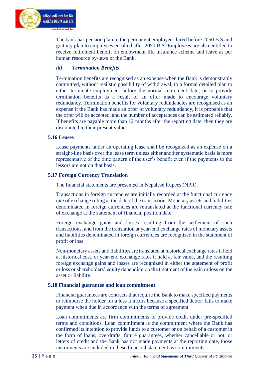

The bank has pension plan to the permanent employees hired before 2050 B.S and gratuity plan to employees enrolled after 2050 B.S. Employees are also entitled to receive retirement benefit on endowment life insurance scheme and leave as per human resource by-laws of the Bank.

#### *iii) Termination Benefits*

Termination benefits are recognised as an expense when the Bank is demonstrably committed, without realistic possibility of withdrawal, to a formal detailed plan to either terminate employment before the normal retirement date, or to provide termination benefits as a result of an offer made to encourage voluntary redundancy. Termination benefits for voluntary redundancies are recognised as an expense if the Bank has made an offer of voluntary redundancy, it is probable that the offer will be accepted, and the number of acceptances can be estimated reliably. If benefits are payable more than 12 months after the reporting date, then they are discounted to their present value.

#### **5.16 Leases**

Lease payments under an operating lease shall be recognized as an expense on a straight-line basis over the lease term unless either another systematic basis is more representative of the time pattern of the user's benefit even if the payments to the lessors are not on that basis.

#### **5.17 Foreign Currency Translation**

The financial statements are presented in Nepalese Rupees (NPR).

Transactions in foreign currencies are initially recorded at the functional currency rate of exchange ruling at the date of the transaction. Monetary assets and liabilities denominated in foreign currencies are retranslated at the functional currency rate of exchange at the statement of financial position date.

Foreign exchange gains and losses resulting from the settlement of such transactions, and from the translation at year-end exchange rates of monetary assets and liabilities denominated in foreign currencies are recognised in the statement of profit or loss.

Non-monetary assets and liabilities are translated at historical exchange rates if held at historical cost, or year-end exchange rates if held at fair value, and the resulting foreign exchange gains and losses are recognized in either the statement of profit or loss or shareholders' equity depending on the treatment of the gain or loss on the asset or liability.

#### **5.18 Financial guarantee and loan commitment**

Financial guarantees are contracts that require the Bank to make specified payments to reimburse the holder for a loss it incurs because a specified debtor fails to make payment when due in accordance with the terms of agreement.

Loan commitments are firm commitments to provide credit under pre-specified terms and conditions. Loan commitment is the commitment where the Bank has confirmed its intention to provide funds to a customer or on behalf of a customer in the form of loans, overdrafts, future guarantees, whether cancellable or not, or letters of credit and the Bank has not made payments at the reporting date, those instruments are included in these financial statement as commitments.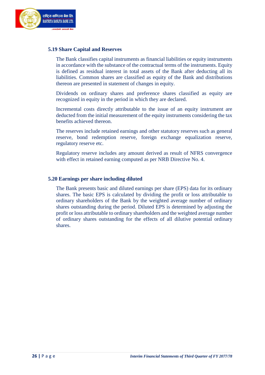

#### **5.19 Share Capital and Reserves**

The Bank classifies capital instruments as financial liabilities or equity instruments in accordance with the substance of the contractual terms of the instruments. Equity is defined as residual interest in total assets of the Bank after deducting all its liabilities. Common shares are classified as equity of the Bank and distributions thereon are presented in statement of changes in equity.

Dividends on ordinary shares and preference shares classified as equity are recognized in equity in the period in which they are declared.

Incremental costs directly attributable to the issue of an equity instrument are deducted from the initial measurement of the equity instruments considering the tax benefits achieved thereon.

The reserves include retained earnings and other statutory reserves such as general reserve, bond redemption reserve, foreign exchange equalization reserve, regulatory reserve etc.

Regulatory reserve includes any amount derived as result of NFRS convergence with effect in retained earning computed as per NRB Directive No. 4.

#### **5.20 Earnings per share including diluted**

The Bank presents basic and diluted earnings per share (EPS) data for its ordinary shares. The basic EPS is calculated by dividing the profit or loss attributable to ordinary shareholders of the Bank by the weighted average number of ordinary shares outstanding during the period. Diluted EPS is determined by adjusting the profit or loss attributable to ordinary shareholders and the weighted average number of ordinary shares outstanding for the effects of all dilutive potential ordinary shares.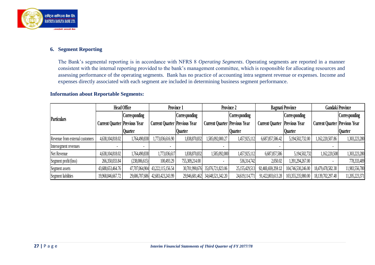

#### **6. Segment Reporting**

The Bank's segmental reporting is in accordance with NFRS 8 *Operating Segments*. Operating segments are reported in a manner consistent with the internal reporting provided to the bank's management committee, which is responsible for allocating resources and assessing performance of the operating segments. Bank has no practice of accounting intra segment revenue or expenses. Income and expenses directly associated with each segment are included in determining business segment performance.

#### **Information about Reportable Segments:**

|                                 | <b>Head Office</b>                   |                | Province 1                           |                | Province 2                           |                      | <b>Bagmati Province</b>              |                      | <b>Gandaki Province</b>              |                |
|---------------------------------|--------------------------------------|----------------|--------------------------------------|----------------|--------------------------------------|----------------------|--------------------------------------|----------------------|--------------------------------------|----------------|
| <b>Particulars</b>              |                                      | Corresponding  |                                      | Corresponding  |                                      | <b>Corresponding</b> |                                      | <b>Corresponding</b> |                                      | Corresponding  |
|                                 | <b>Current Quarter Previous Year</b> |                | <b>Current Quarter Previous Year</b> |                | <b>Current Quarter Previous Year</b> |                      | <b>Current Quarter Previous Year</b> |                      | <b>Current Quarter Previous Year</b> |                |
|                                 |                                      | Quarter        |                                      | <b>Quarter</b> |                                      | <b>Quarter</b>       |                                      | <b>Quarter</b>       |                                      | <b>Quarter</b> |
| Revenue from external customers | 4,638,104,818.02                     | 1,764,490,838  | 1,773,036,616.90                     | 1,838,870,832  | 1,585,092,000.27                     | 1,457,925,112        | 6,687,857,586.42                     | 5,194,502,732.00     | ,162,220,507.86                      | 1,303,223,280  |
| Intersegment revenues           |                                      |                |                                      |                |                                      |                      |                                      |                      |                                      |                |
| Net Revenue                     | 4,638,104,818.02                     | 1,764,490,838  | 1,773,036,617                        | 1,838,870,832  | 1,585,092,000                        | 1,457,925,112        | 6,687,857,586                        | 5,194,502,732        | 1,162,220,508                        | 1,303,223,280  |
| Segment profit/(loss)           | 266,350,033.84                       | (238,006,615)  | 100,493.29                           | 755,309,214.00 |                                      | 536,314,742          | 2,050.02                             | 1,391,294,267.00     |                                      | 778,333,409    |
| Segment assets                  | 43,688,653,464.76                    | 47,707,064,904 | 43,222,115,156.54                    | 30,701,990,676 | 35,076,721,823.06                    | 25,155,429,51        | 92,483,659,259.12                    | 104,746,530,246.00   | 18,479,478,582.38                    | 11,983,556,780 |
| Segment liabilities             | 19,968,846,667.72                    | 29,686,707,686 | 42,683,423,243.99                    |                | 29,946,681,462 34,648,521,342.20     | 24,619,114,771       | 91,422,803,613.28                    | 103,355,235,980.00   | 18,139,702,297.48                    | 11,205,223,371 |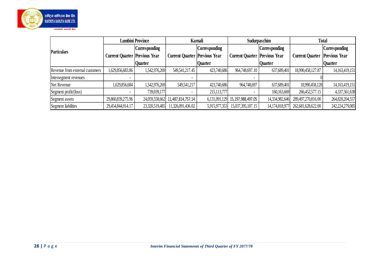

|                                 |                                      | <b>Lumbini Province</b> |                                      | Karnali        |                                      | Sudurpaschim         |                        | <b>Total</b>         |
|---------------------------------|--------------------------------------|-------------------------|--------------------------------------|----------------|--------------------------------------|----------------------|------------------------|----------------------|
| Particulars                     |                                      | Corresponding           |                                      | Corresponding  |                                      | <b>Corresponding</b> |                        | <b>Corresponding</b> |
|                                 | <b>Current Quarter Previous Year</b> |                         | <b>Current Quarter Previous Year</b> |                | <b>Current Quarter Previous Year</b> |                      | <b>Current Quarter</b> | <b>Previous Year</b> |
|                                 |                                      | <b>Ouarter</b>          |                                      | <b>Quarter</b> |                                      | <b>Ouarter</b>       |                        | <b>Quarter</b>       |
| Revenue from external customers | 1,629,856,683.86                     | 1,542,976,269           | 549,541,217.45                       | 423,740,686    | 964,748,697.10                       | 637,689,401          | 18,990,458,127.87      | 14, 163, 419, 151    |
| Intersegment revenues           |                                      |                         |                                      |                |                                      |                      |                        |                      |
| Net Revenue                     | 1,629,856,684                        | 1,542,976,269           | 549,541,217                          | 423,740,686    | 964,748,697                          | 637,689,401          | 18,990,458,128         | 14, 163, 419, 151    |
| Segment profit/(loss)           |                                      | 739,039,177             |                                      | 215, 113, 777  |                                      | 160,163,669          | 266,452,577.15         | 4,337,561,638        |
| Segment assets                  | 29,860,839,275.96                    | 24,059,558,662          | 11,487,814,757.14                    |                | 6,131,091,129 15,197,988,497.05      | 14,334,982,646       | 289,497,270,816.00     | 264,820,204,557      |
| Segment liabilities             | 29,454,844,914.17                    | 23,320,519,485          | 11,326,091,436.02                    | 5,915,977,353  | 15,037,395,107.15                    | 14,174,818,977       | 262,681,628,622.00     | 242,224,279,085      |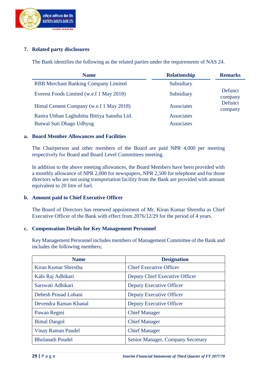

#### **7. Related party disclosures**

The Bank identifies the following as the related parties under the requirements of NAS 24.

| <b>Name</b>                                   | <b>Relationship</b> | <b>Remarks</b>     |
|-----------------------------------------------|---------------------|--------------------|
| <b>RBB Merchant Banking Company Limited</b>   | Subsidiary          |                    |
| Everest Foods Limited (w.e.f 1 May 2018)      | Subsidiary          | Defunct<br>company |
| Himal Cement Company (w.e.f 1 May 2018)       | Associates          | Defunct<br>company |
| Rastra Utthan Laghubitta Bittiya Sanstha Ltd. | Associates          |                    |
| Butwal Suti Dhago Udhyog                      | Associates          |                    |

#### **a. Board Member Allowances and Facilities**

The Chairperson and other members of the Board are paid NPR 4,000 per meeting respectively for Board and Board Level Committees meeting.

In addition to the above meeting allowances, the Board Members have been provided with a monthly allowance of NPR 2,000 for newspapers, NPR 2,500 for telephone and for those directors who are not using transportation facility from the Bank are provided with amount equivalent to 20 litre of fuel.

#### **b. Amount paid to Chief Executive Officer**

The Board of Directors has renewed appointment of Mr. Kiran Kumar Shrestha as Chief Executive Officer of the Bank with effect from 2076/12/29 for the period of 4 years.

#### **c. Compensation Details for Key Management Personnel**

Key Management Personnel includes members of Management Committee of the Bank and includes the following members;

| <b>Name</b>               | <b>Designation</b>                |
|---------------------------|-----------------------------------|
| Kiran Kumar Shrestha      | <b>Chief Executive Officer</b>    |
| Kabi Raj Adhikari         | Deputy Chief Executive Officer    |
| Sarswati Adhikari         | Deputy Executive Officer          |
| Debesh Prasad Lohani      | Deputy Executive Officer          |
| Devendra Raman Khanal     | Deputy Executive Officer          |
| Pawan Regmi               | <b>Chief Manager</b>              |
| <b>Bimal Dangol</b>       | <b>Chief Manager</b>              |
| <b>Vinay Raman Paudel</b> | <b>Chief Manager</b>              |
| <b>Bholanath Poudel</b>   | Senior Manager, Company Secretary |